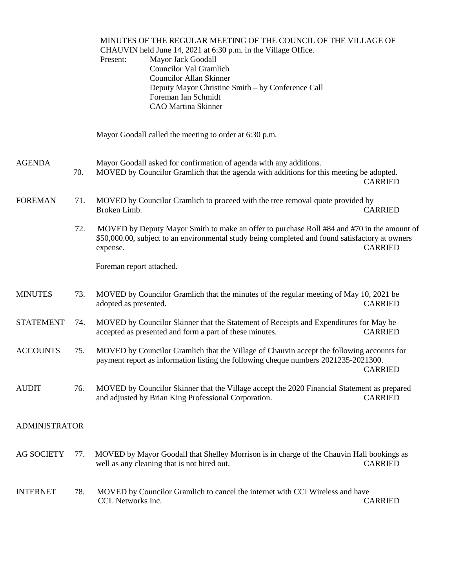|                      |     | MINUTES OF THE REGULAR MEETING OF THE COUNCIL OF THE VILLAGE OF<br>CHAUVIN held June 14, 2021 at 6:30 p.m. in the Village Office.<br>Mayor Jack Goodall<br>Present:<br><b>Councilor Val Gramlich</b><br><b>Councilor Allan Skinner</b><br>Deputy Mayor Christine Smith - by Conference Call<br>Foreman Ian Schmidt<br><b>CAO</b> Martina Skinner |                |
|----------------------|-----|--------------------------------------------------------------------------------------------------------------------------------------------------------------------------------------------------------------------------------------------------------------------------------------------------------------------------------------------------|----------------|
|                      |     | Mayor Goodall called the meeting to order at 6:30 p.m.                                                                                                                                                                                                                                                                                           |                |
| <b>AGENDA</b>        | 70. | Mayor Goodall asked for confirmation of agenda with any additions.<br>MOVED by Councilor Gramlich that the agenda with additions for this meeting be adopted.                                                                                                                                                                                    | <b>CARRIED</b> |
| <b>FOREMAN</b>       | 71. | MOVED by Councilor Gramlich to proceed with the tree removal quote provided by<br>Broken Limb.                                                                                                                                                                                                                                                   | <b>CARRIED</b> |
|                      | 72. | MOVED by Deputy Mayor Smith to make an offer to purchase Roll #84 and #70 in the amount of<br>\$50,000.00, subject to an environmental study being completed and found satisfactory at owners<br>expense.                                                                                                                                        | <b>CARRIED</b> |
|                      |     | Foreman report attached.                                                                                                                                                                                                                                                                                                                         |                |
| <b>MINUTES</b>       | 73. | MOVED by Councilor Gramlich that the minutes of the regular meeting of May 10, 2021 be<br>adopted as presented.                                                                                                                                                                                                                                  | <b>CARRIED</b> |
| <b>STATEMENT</b>     | 74. | MOVED by Councilor Skinner that the Statement of Receipts and Expenditures for May be<br>accepted as presented and form a part of these minutes.                                                                                                                                                                                                 | <b>CARRIED</b> |
| <b>ACCOUNTS</b>      | 75. | MOVED by Councilor Gramlich that the Village of Chauvin accept the following accounts for<br>payment report as information listing the following cheque numbers 2021235-2021300.                                                                                                                                                                 | <b>CARRIED</b> |
| <b>AUDIT</b>         | 76. | MOVED by Councilor Skinner that the Village accept the 2020 Financial Statement as prepared<br>and adjusted by Brian King Professional Corporation.                                                                                                                                                                                              | <b>CARRIED</b> |
| <b>ADMINISTRATOR</b> |     |                                                                                                                                                                                                                                                                                                                                                  |                |
| <b>AG SOCIETY</b>    | 77. | MOVED by Mayor Goodall that Shelley Morrison is in charge of the Chauvin Hall bookings as<br>well as any cleaning that is not hired out.                                                                                                                                                                                                         | <b>CARRIED</b> |
| <b>INTERNET</b>      | 78. | MOVED by Councilor Gramlich to cancel the internet with CCI Wireless and have<br>CCL Networks Inc.                                                                                                                                                                                                                                               | <b>CARRIED</b> |